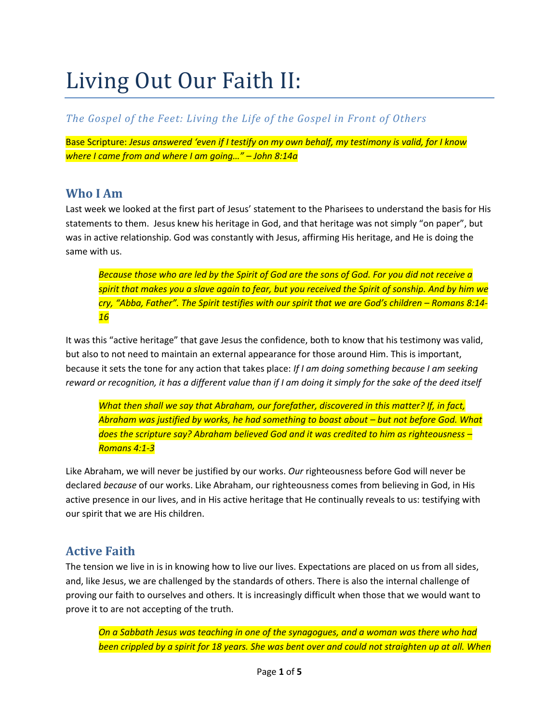# Living Out Our Faith II:

#### *The Gospel of the Feet: Living the Life of the Gospel in Front of Others*

Base Scripture: *Jesus answered 'even if I testify on my own behalf, my testimony is valid, for I know where I came from and where I am going…" – John 8:14a*

#### **Who I Am**

Last week we looked at the first part of Jesus' statement to the Pharisees to understand the basis for His statements to them. Jesus knew his heritage in God, and that heritage was not simply "on paper", but was in active relationship. God was constantly with Jesus, affirming His heritage, and He is doing the same with us.

*Because those who are led by the Spirit of God are the sons of God. For you did not receive a spirit that makes you a slave again to fear, but you received the Spirit of sonship. And by him we cry, "Abba, Father". The Spirit testifies with our spirit that we are God's children – Romans 8:14- 16*

It was this "active heritage" that gave Jesus the confidence, both to know that his testimony was valid, but also to not need to maintain an external appearance for those around Him. This is important, because it sets the tone for any action that takes place: *If I am doing something because I am seeking reward or recognition, it has a different value than if I am doing it simply for the sake of the deed itself*

*What then shall we say that Abraham, our forefather, discovered in this matter? If, in fact, Abraham was justified by works, he had something to boast about – but not before God. What does the scripture say? Abraham believed God and it was credited to him as righteousness – Romans 4:1-3*

Like Abraham, we will never be justified by our works. *Our* righteousness before God will never be declared *because* of our works. Like Abraham, our righteousness comes from believing in God, in His active presence in our lives, and in His active heritage that He continually reveals to us: testifying with our spirit that we are His children.

## **Active Faith**

The tension we live in is in knowing how to live our lives. Expectations are placed on us from all sides, and, like Jesus, we are challenged by the standards of others. There is also the internal challenge of proving our faith to ourselves and others. It is increasingly difficult when those that we would want to prove it to are not accepting of the truth.

*On a Sabbath Jesus was teaching in one of the synagogues, and a woman was there who had been crippled by a spirit for 18 years. She was bent over and could not straighten up at all. When*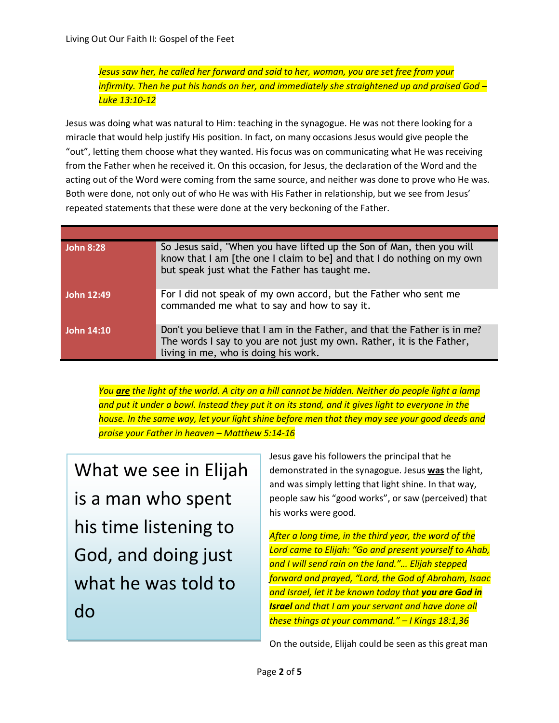*Jesus saw her, he called her forward and said to her, woman, you are set free from your infirmity. Then he put his hands on her, and immediately she straightened up and praised God – Luke 13:10-12*

Jesus was doing what was natural to Him: teaching in the synagogue. He was not there looking for a miracle that would help justify His position. In fact, on many occasions Jesus would give people the "out", letting them choose what they wanted. His focus was on communicating what He was receiving from the Father when he received it. On this occasion, for Jesus, the declaration of the Word and the acting out of the Word were coming from the same source, and neither was done to prove who He was. Both were done, not only out of who He was with His Father in relationship, but we see from Jesus' repeated statements that these were done at the very beckoning of the Father.

| <b>John 8:28</b> | So Jesus said, "When you have lifted up the Son of Man, then you will<br>know that I am [the one I claim to be] and that I do nothing on my own<br>but speak just what the Father has taught me. |
|------------------|--------------------------------------------------------------------------------------------------------------------------------------------------------------------------------------------------|
| John 12:49       | For I did not speak of my own accord, but the Father who sent me<br>commanded me what to say and how to say it.                                                                                  |
| John 14:10       | Don't you believe that I am in the Father, and that the Father is in me?<br>The words I say to you are not just my own. Rather, it is the Father,<br>living in me, who is doing his work.        |

*You are the light of the world. A city on a hill cannot be hidden. Neither do people light a lamp and put it under a bowl. Instead they put it on its stand, and it gives light to everyone in the house. In the same way, let your light shine before men that they may see your good deeds and praise your Father in heaven – Matthew 5:14-16*

What we see in Elijah is a man who spent his time listening to God, and doing just what he was told to do

Jesus gave his followers the principal that he demonstrated in the synagogue. Jesus **was** the light, and was simply letting that light shine. In that way, people saw his "good works", or saw (perceived) that his works were good.

*After a long time, in the third year, the word of the Lord came to Elijah: "Go and present yourself to Ahab, and I will send rain on the land."… Elijah stepped forward and prayed, "Lord, the God of Abraham, Isaac and Israel, let it be known today that you are God in Israel and that I am your servant and have done all these things at your command." – I Kings 18:1,36*

On the outside, Elijah could be seen as this great man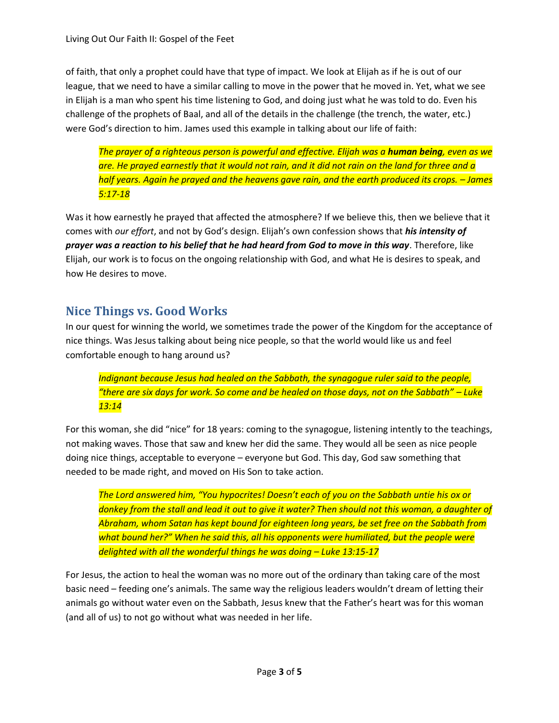of faith, that only a prophet could have that type of impact. We look at Elijah as if he is out of our league, that we need to have a similar calling to move in the power that he moved in. Yet, what we see in Elijah is a man who spent his time listening to God, and doing just what he was told to do. Even his challenge of the prophets of Baal, and all of the details in the challenge (the trench, the water, etc.) were God's direction to him. James used this example in talking about our life of faith:

*The prayer of a righteous person is powerful and effective. Elijah was a human being, even as we are. He prayed earnestly that it would not rain, and it did not rain on the land for three and a*  half years. Again he prayed and the heavens gave rain, and the earth produced its crops. – James *5:17-18*

Was it how earnestly he prayed that affected the atmosphere? If we believe this, then we believe that it comes with *our effort*, and not by God's design. Elijah's own confession shows that *his intensity of prayer was a reaction to his belief that he had heard from God to move in this way*. Therefore, like Elijah, our work is to focus on the ongoing relationship with God, and what He is desires to speak, and how He desires to move.

#### **Nice Things vs. Good Works**

In our quest for winning the world, we sometimes trade the power of the Kingdom for the acceptance of nice things. Was Jesus talking about being nice people, so that the world would like us and feel comfortable enough to hang around us?

*Indignant because Jesus had healed on the Sabbath, the synagogue ruler said to the people, "there are six days for work. So come and be healed on those days, not on the Sabbath" – Luke 13:14*

For this woman, she did "nice" for 18 years: coming to the synagogue, listening intently to the teachings, not making waves. Those that saw and knew her did the same. They would all be seen as nice people doing nice things, acceptable to everyone – everyone but God. This day, God saw something that needed to be made right, and moved on His Son to take action.

*The Lord answered him, "You hypocrites! Doesn't each of you on the Sabbath untie his ox or donkey from the stall and lead it out to give it water? Then should not this woman, a daughter of Abraham, whom Satan has kept bound for eighteen long years, be set free on the Sabbath from what bound her?" When he said this, all his opponents were humiliated, but the people were delighted with all the wonderful things he was doing – Luke 13:15-17*

For Jesus, the action to heal the woman was no more out of the ordinary than taking care of the most basic need – feeding one's animals. The same way the religious leaders wouldn't dream of letting their animals go without water even on the Sabbath, Jesus knew that the Father's heart was for this woman (and all of us) to not go without what was needed in her life.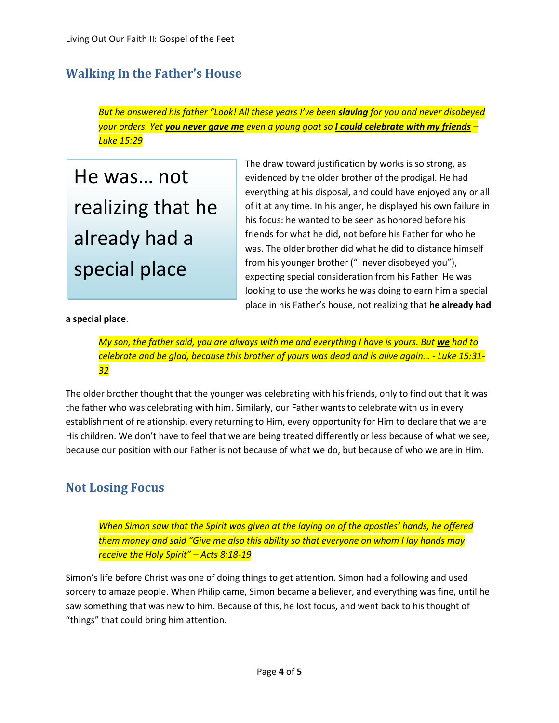# **Walking In the Father's House**

*But he answered his father "Look! All these years I've been slaving for you and never disobeyed your orders. Yet you never gave me even a young goat so I could celebrate with my friends – Luke 15:29*

He was… not realizing that he already had a special place

The draw toward justification by works is so strong, as evidenced by the older brother of the prodigal. He had everything at his disposal, and could have enjoyed any or all of it at any time. In his anger, he displayed his own failure in his focus: he wanted to be seen as honored before his friends for what he did, not before his Father for who he was. The older brother did what he did to distance himself from his younger brother ("I never disobeyed you"), expecting special consideration from his Father. He was looking to use the works he was doing to earn him a special place in his Father's house, not realizing that **he already had** 

**a special place**.

*My son, the father said, you are always with me and everything I have is yours. But we had to celebrate and be glad, because this brother of yours was dead and is alive again… - Luke 15:31- 32*

The older brother thought that the younger was celebrating with his friends, only to find out that it was the father who was celebrating with him. Similarly, our Father wants to celebrate with us in every establishment of relationship, every returning to Him, every opportunity for Him to declare that we are His children. We don't have to feel that we are being treated differently or less because of what we see, because our position with our Father is not because of what we do, but because of who we are in Him.

#### **Not Losing Focus**

*When Simon saw that the Spirit was given at the laying on of the apostles' hands, he offered them money and said "Give me also this ability so that everyone on whom I lay hands may receive the Holy Spirit" – Acts 8:18-19*

Simon's life before Christ was one of doing things to get attention. Simon had a following and used sorcery to amaze people. When Philip came, Simon became a believer, and everything was fine, until he saw something that was new to him. Because of this, he lost focus, and went back to his thought of "things" that could bring him attention.